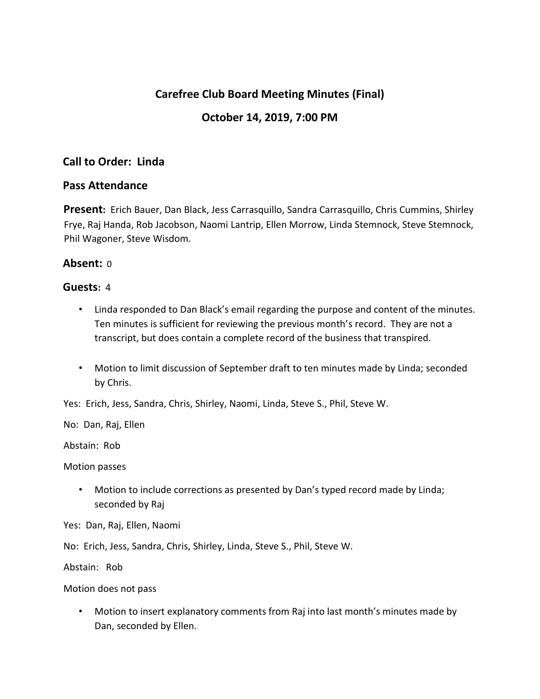# **Carefree Club Board Meeting Minutes (Final)**

## **October 14, 2019, 7:00 PM**

## **Call to Order: Linda**

#### **Pass Attendance**

**Present:** Erich Bauer, Dan Black, Jess Carrasquillo, Sandra Carrasquillo, Chris Cummins, Shirley Frye, Raj Handa, Rob Jacobson, Naomi Lantrip, Ellen Morrow, Linda Stemnock, Steve Stemnock, Phil Wagoner, Steve Wisdom.

#### **Absent:** 0

#### **Guests:** 4

- Linda responded to Dan Black's email regarding the purpose and content of the minutes. Ten minutes is sufficient for reviewing the previous month's record. They are not a transcript, but does contain a complete record of the business that transpired.
- Motion to limit discussion of September draft to ten minutes made by Linda; seconded by Chris.

Yes: Erich, Jess, Sandra, Chris, Shirley, Naomi, Linda, Steve S., Phil, Steve W.

No: Dan, Raj, Ellen

Abstain: Rob

Motion passes

• Motion to include corrections as presented by Dan's typed record made by Linda; seconded by Raj

Yes: Dan, Raj, Ellen, Naomi

No: Erich, Jess, Sandra, Chris, Shirley, Linda, Steve S., Phil, Steve W.

Abstain: Rob

Motion does not pass

• Motion to insert explanatory comments from Raj into last month's minutes made by Dan, seconded by Ellen.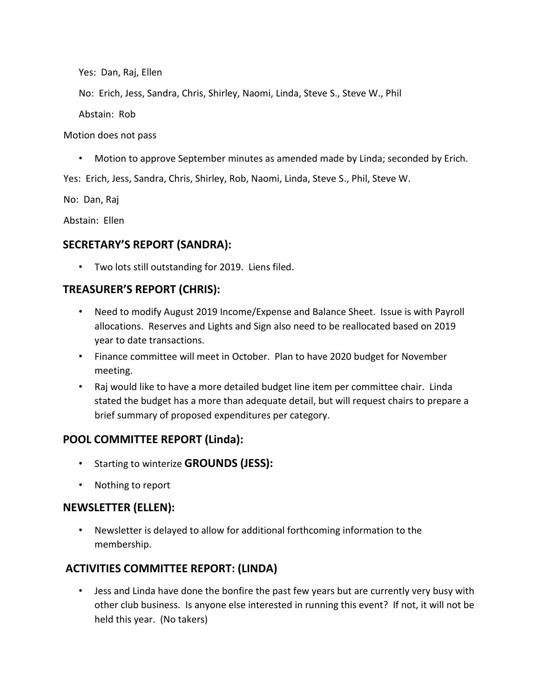Yes: Dan, Raj, Ellen

No: Erich, Jess, Sandra, Chris, Shirley, Naomi, Linda, Steve S., Steve W., Phil

Abstain: Rob

Motion does not pass

• Motion to approve September minutes as amended made by Linda; seconded by Erich.

Yes: Erich, Jess, Sandra, Chris, Shirley, Rob, Naomi, Linda, Steve S., Phil, Steve W.

No: Dan, Raj

Abstain: Ellen

## **SECRETARY'S REPORT (SANDRA):**

• Two lots still outstanding for 2019. Liens filed.

### **TREASURER'S REPORT (CHRIS):**

- Need to modify August 2019 Income/Expense and Balance Sheet. Issue is with Payroll allocations. Reserves and Lights and Sign also need to be reallocated based on 2019 year to date transactions.
- Finance committee will meet in October. Plan to have 2020 budget for November meeting.
- Raj would like to have a more detailed budget line item per committee chair. Linda stated the budget has a more than adequate detail, but will request chairs to prepare a brief summary of proposed expenditures per category.

### **POOL COMMITTEE REPORT (Linda):**

- Starting to winterize **GROUNDS (JESS):**
- Nothing to report

### **NEWSLETTER (ELLEN):**

• Newsletter is delayed to allow for additional forthcoming information to the membership.

## **ACTIVITIES COMMITTEE REPORT: (LINDA)**

• Jess and Linda have done the bonfire the past few years but are currently very busy with other club business. Is anyone else interested in running this event? If not, it will not be held this year. (No takers)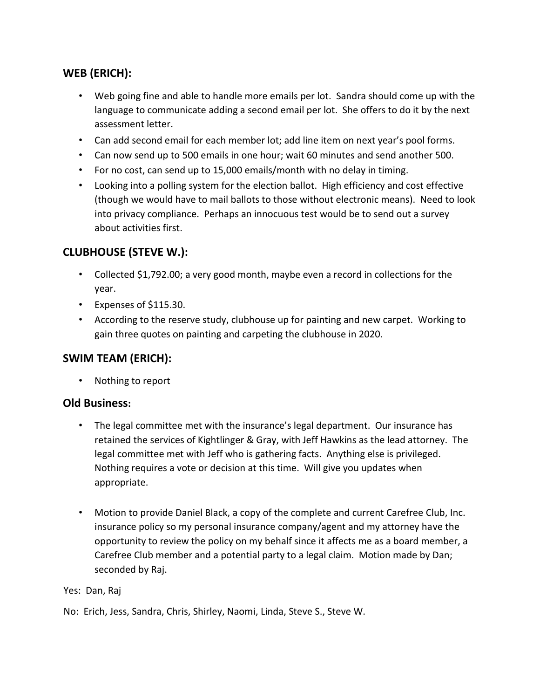# **WEB (ERICH):**

- Web going fine and able to handle more emails per lot. Sandra should come up with the language to communicate adding a second email per lot. She offers to do it by the next assessment letter.
- Can add second email for each member lot; add line item on next year's pool forms.
- Can now send up to 500 emails in one hour; wait 60 minutes and send another 500.
- For no cost, can send up to 15,000 emails/month with no delay in timing.
- Looking into a polling system for the election ballot. High efficiency and cost effective (though we would have to mail ballots to those without electronic means). Need to look into privacy compliance. Perhaps an innocuous test would be to send out a survey about activities first.

# **CLUBHOUSE (STEVE W.):**

- Collected \$1,792.00; a very good month, maybe even a record in collections for the year.
- Expenses of \$115.30.
- According to the reserve study, clubhouse up for painting and new carpet. Working to gain three quotes on painting and carpeting the clubhouse in 2020.

### **SWIM TEAM (ERICH):**

• Nothing to report

### **Old Business:**

- The legal committee met with the insurance's legal department. Our insurance has retained the services of Kightlinger & Gray, with Jeff Hawkins as the lead attorney. The legal committee met with Jeff who is gathering facts. Anything else is privileged. Nothing requires a vote or decision at this time. Will give you updates when appropriate.
- Motion to provide Daniel Black, a copy of the complete and current Carefree Club, Inc. insurance policy so my personal insurance company/agent and my attorney have the opportunity to review the policy on my behalf since it affects me as a board member, a Carefree Club member and a potential party to a legal claim. Motion made by Dan; seconded by Raj.

Yes: Dan, Raj

No: Erich, Jess, Sandra, Chris, Shirley, Naomi, Linda, Steve S., Steve W.